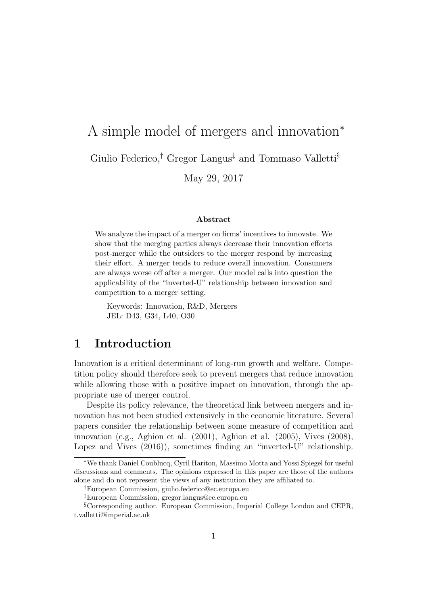# A simple model of mergers and innovation<sup>∗</sup> Giulio Federico,<sup>†</sup> Gregor Langus<sup>‡</sup> and Tommaso Valletti<sup>§</sup> May 29, 2017

#### Abstract

We analyze the impact of a merger on firms' incentives to innovate. We show that the merging parties always decrease their innovation efforts post-merger while the outsiders to the merger respond by increasing their effort. A merger tends to reduce overall innovation. Consumers are always worse off after a merger. Our model calls into question the applicability of the "inverted-U" relationship between innovation and competition to a merger setting.

Keywords: Innovation, R&D, Mergers JEL: D43, G34, L40, O30

## 1 Introduction

Innovation is a critical determinant of long-run growth and welfare. Competition policy should therefore seek to prevent mergers that reduce innovation while allowing those with a positive impact on innovation, through the appropriate use of merger control.

Despite its policy relevance, the theoretical link between mergers and innovation has not been studied extensively in the economic literature. Several papers consider the relationship between some measure of competition and innovation (e.g., Aghion et al. (2001), Aghion et al. (2005), Vives (2008), Lopez and Vives  $(2016)$ , sometimes finding an "inverted-U" relationship.

<sup>∗</sup>We thank Daniel Coublucq, Cyril Hariton, Massimo Motta and Yossi Spiegel for useful discussions and comments. The opinions expressed in this paper are those of the authors alone and do not represent the views of any institution they are affiliated to.

<sup>†</sup>European Commission, giulio.federico@ec.europa.eu

<sup>‡</sup>European Commission, gregor.langus@ec.europa.eu

<sup>§</sup>Corresponding author. European Commission, Imperial College London and CEPR, t.valletti@imperial.ac.uk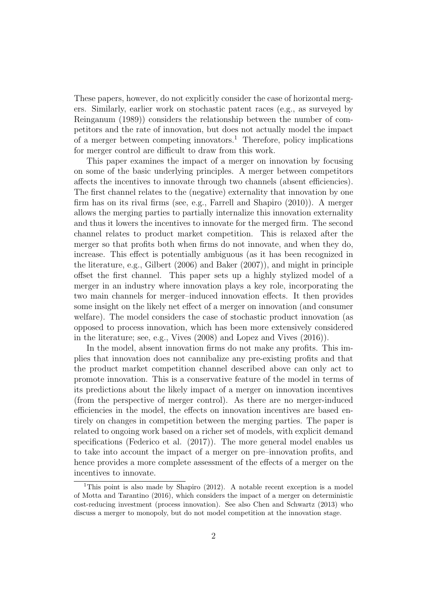These papers, however, do not explicitly consider the case of horizontal mergers. Similarly, earlier work on stochastic patent races (e.g., as surveyed by Reinganum (1989)) considers the relationship between the number of competitors and the rate of innovation, but does not actually model the impact of a merger between competing innovators.<sup>1</sup> Therefore, policy implications for merger control are difficult to draw from this work.

This paper examines the impact of a merger on innovation by focusing on some of the basic underlying principles. A merger between competitors affects the incentives to innovate through two channels (absent efficiencies). The first channel relates to the (negative) externality that innovation by one firm has on its rival firms (see, e.g., Farrell and Shapiro (2010)). A merger allows the merging parties to partially internalize this innovation externality and thus it lowers the incentives to innovate for the merged firm. The second channel relates to product market competition. This is relaxed after the merger so that profits both when firms do not innovate, and when they do, increase. This effect is potentially ambiguous (as it has been recognized in the literature, e.g., Gilbert (2006) and Baker (2007)), and might in principle offset the first channel. This paper sets up a highly stylized model of a merger in an industry where innovation plays a key role, incorporating the two main channels for merger–induced innovation effects. It then provides some insight on the likely net effect of a merger on innovation (and consumer welfare). The model considers the case of stochastic product innovation (as opposed to process innovation, which has been more extensively considered in the literature; see, e.g., Vives (2008) and Lopez and Vives (2016)).

In the model, absent innovation firms do not make any profits. This implies that innovation does not cannibalize any pre-existing profits and that the product market competition channel described above can only act to promote innovation. This is a conservative feature of the model in terms of its predictions about the likely impact of a merger on innovation incentives (from the perspective of merger control). As there are no merger-induced efficiencies in the model, the effects on innovation incentives are based entirely on changes in competition between the merging parties. The paper is related to ongoing work based on a richer set of models, with explicit demand specifications (Federico et al. (2017)). The more general model enables us to take into account the impact of a merger on pre–innovation profits, and hence provides a more complete assessment of the effects of a merger on the incentives to innovate.

<sup>&</sup>lt;sup>1</sup>This point is also made by Shapiro  $(2012)$ . A notable recent exception is a model of Motta and Tarantino (2016), which considers the impact of a merger on deterministic cost-reducing investment (process innovation). See also Chen and Schwartz (2013) who discuss a merger to monopoly, but do not model competition at the innovation stage.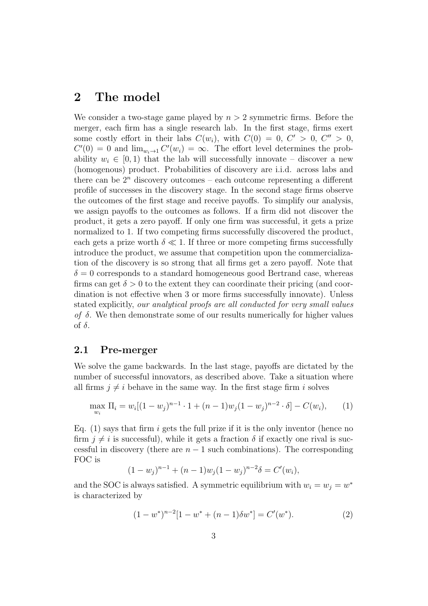## 2 The model

We consider a two-stage game played by  $n > 2$  symmetric firms. Before the merger, each firm has a single research lab. In the first stage, firms exert some costly effort in their labs  $C(w_i)$ , with  $C(0) = 0$ ,  $C' > 0$ ,  $C'' > 0$ ,  $C'(0) = 0$  and  $\lim_{w_i \to 1} C'(w_i) = \infty$ . The effort level determines the probability  $w_i \in [0, 1)$  that the lab will successfully innovate – discover a new (homogenous) product. Probabilities of discovery are i.i.d. across labs and there can be  $2^n$  discovery outcomes – each outcome representing a different profile of successes in the discovery stage. In the second stage firms observe the outcomes of the first stage and receive payoffs. To simplify our analysis, we assign payoffs to the outcomes as follows. If a firm did not discover the product, it gets a zero payoff. If only one firm was successful, it gets a prize normalized to 1. If two competing firms successfully discovered the product, each gets a prize worth  $\delta \ll 1$ . If three or more competing firms successfully introduce the product, we assume that competition upon the commercialization of the discovery is so strong that all firms get a zero payoff. Note that  $\delta = 0$  corresponds to a standard homogeneous good Bertrand case, whereas firms can get  $\delta > 0$  to the extent they can coordinate their pricing (and coordination is not effective when 3 or more firms successfully innovate). Unless stated explicitly, our analytical proofs are all conducted for very small values of  $\delta$ . We then demonstrate some of our results numerically for higher values of  $\delta$ .

### 2.1 Pre-merger

We solve the game backwards. In the last stage, payoffs are dictated by the number of successful innovators, as described above. Take a situation where all firms  $j \neq i$  behave in the same way. In the first stage firm i solves

$$
\max_{w_i} \Pi_i = w_i [(1 - w_j)^{n-1} \cdot 1 + (n-1) w_j (1 - w_j)^{n-2} \cdot \delta] - C(w_i), \tag{1}
$$

Eq.  $(1)$  says that firm i gets the full prize if it is the only inventor (hence no firm  $j \neq i$  is successful), while it gets a fraction  $\delta$  if exactly one rival is successful in discovery (there are  $n-1$  such combinations). The corresponding FOC is

$$
(1 - wj)n-1 + (n - 1)wj(1 - wj)n-2 \delta = C'(wi),
$$

and the SOC is always satisfied. A symmetric equilibrium with  $w_i = w_j = w^*$ is characterized by

$$
(1 - w^*)^{n-2} [1 - w^* + (n - 1)\delta w^*] = C'(w^*).
$$
 (2)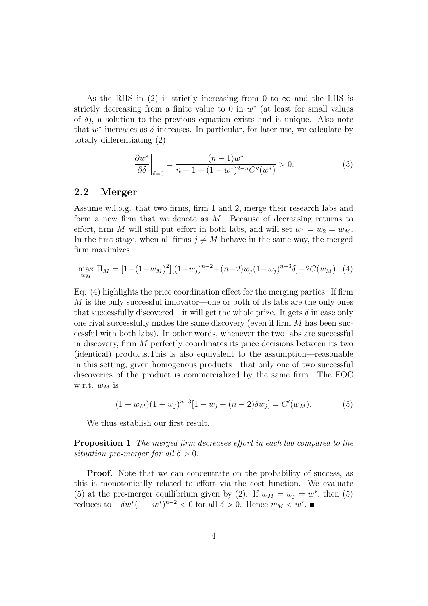As the RHS in (2) is strictly increasing from 0 to  $\infty$  and the LHS is strictly decreasing from a finite value to  $0$  in  $w^*$  (at least for small values of  $\delta$ ), a solution to the previous equation exists and is unique. Also note that  $w^*$  increases as  $\delta$  increases. In particular, for later use, we calculate by totally differentiating (2)

$$
\left. \frac{\partial w^*}{\partial \delta} \right|_{\delta=0} = \frac{(n-1)w^*}{n-1 + (1-w^*)^{2-n}C''(w^*)} > 0. \tag{3}
$$

#### 2.2 Merger

Assume w.l.o.g. that two firms, firm 1 and 2, merge their research labs and form a new firm that we denote as  $M$ . Because of decreasing returns to effort, firm M will still put effort in both labs, and will set  $w_1 = w_2 = w_M$ . In the first stage, when all firms  $j \neq M$  behave in the same way, the merged firm maximizes

$$
\max_{w_M} \Pi_M = [1 - (1 - w_M)^2] [(1 - w_j)^{n-2} + (n-2)w_j (1 - w_j)^{n-3} \delta] - 2C(w_M). \tag{4}
$$

Eq. (4) highlights the price coordination effect for the merging parties. If firm M is the only successful innovator—one or both of its labs are the only ones that successfully discovered—it will get the whole prize. It gets  $\delta$  in case only one rival successfully makes the same discovery (even if firm  $M$  has been successful with both labs). In other words, whenever the two labs are successful in discovery, firm M perfectly coordinates its price decisions between its two (identical) products.This is also equivalent to the assumption—reasonable in this setting, given homogenous products—that only one of two successful discoveries of the product is commercialized by the same firm. The FOC w.r.t.  $w_M$  is

$$
(1 - wM)(1 - wj)n-3[1 - wj + (n - 2)\delta wj] = C'(wM).
$$
 (5)

We thus establish our first result.

**Proposition 1** The merged firm decreases effort in each lab compared to the situation pre-merger for all  $\delta > 0$ .

**Proof.** Note that we can concentrate on the probability of success, as this is monotonically related to effort via the cost function. We evaluate (5) at the pre-merger equilibrium given by (2). If  $w_M = w_j = w^*$ , then (5) reduces to  $-\delta w^*(1-w^*)^{n-2} < 0$  for all  $\delta > 0$ . Hence  $w_M < w^*$ .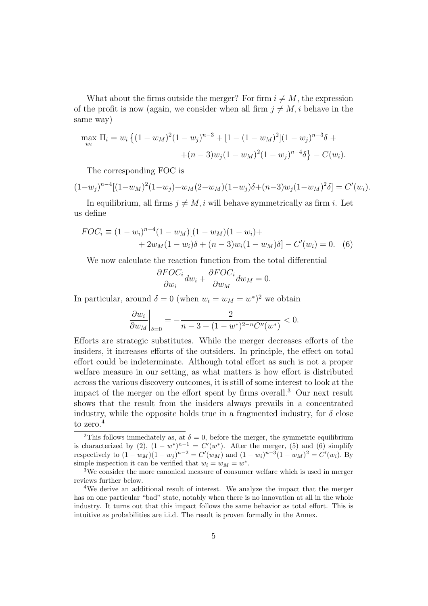What about the firms outside the merger? For firm  $i \neq M$ , the expression of the profit is now (again, we consider when all firm  $j \neq M, i$  behave in the same way)

$$
\max_{w_i} \Pi_i = w_i \left\{ (1 - w_M)^2 (1 - w_j)^{n-3} + [1 - (1 - w_M)^2] (1 - w_j)^{n-3} \delta + (n-3) w_j (1 - w_M)^2 (1 - w_j)^{n-4} \delta \right\} - C(w_i).
$$

The corresponding FOC is

$$
(1-w_j)^{n-4}[(1-w_M)^2(1-w_j)+w_M(2-w_M)(1-w_j)\delta+(n-3)w_j(1-w_M)^2\delta]=C'(w_i).
$$

In equilibrium, all firms  $j \neq M$ , i will behave symmetrically as firm i. Let us define

$$
FOC_i \equiv (1 - w_i)^{n-4} (1 - w_M)[(1 - w_M)(1 - w_i) ++ 2w_M(1 - w_i)\delta + (n - 3)w_i(1 - w_M)\delta] - C'(w_i) = 0.
$$
 (6)

We now calculate the reaction function from the total differential

$$
\frac{\partial FOC_i}{\partial w_i} dw_i + \frac{\partial FOC_i}{\partial w_M} dw_M = 0.
$$

In particular, around  $\delta = 0$  (when  $w_i = w_M = w^*$ )<sup>2</sup> we obtain

$$
\left. \frac{\partial w_i}{\partial w_M} \right|_{\delta=0} = -\frac{2}{n-3 + (1-w^*)^{2-n}C''(w^*)} < 0.
$$

Efforts are strategic substitutes. While the merger decreases efforts of the insiders, it increases efforts of the outsiders. In principle, the effect on total effort could be indeterminate. Although total effort as such is not a proper welfare measure in our setting, as what matters is how effort is distributed across the various discovery outcomes, it is still of some interest to look at the impact of the merger on the effort spent by firms overall.<sup>3</sup> Our next result shows that the result from the insiders always prevails in a concentrated industry, while the opposite holds true in a fragmented industry, for  $\delta$  close to zero.<sup>4</sup>

<sup>&</sup>lt;sup>2</sup>This follows immediately as, at  $\delta = 0$ , before the merger, the symmetric equilibrium is characterized by (2),  $(1 - w^*)^{n-1} = C'(w^*)$ . After the merger, (5) and (6) simplify respectively to  $(1 - w_M)(1 - w_j)^{n-2} = C'(w_M)$  and  $(1 - w_i)^{n-3}(1 - w_M)^2 = C'(w_i)$ . By simple inspection it can be verified that  $w_i = w_M = w^*$ .

<sup>&</sup>lt;sup>3</sup>We consider the more canonical measure of consumer welfare which is used in merger reviews further below.

<sup>4</sup>We derive an additional result of interest. We analyze the impact that the merger has on one particular "bad" state, notably when there is no innovation at all in the whole industry. It turns out that this impact follows the same behavior as total effort. This is intuitive as probabilities are i.i.d. The result is proven formally in the Annex.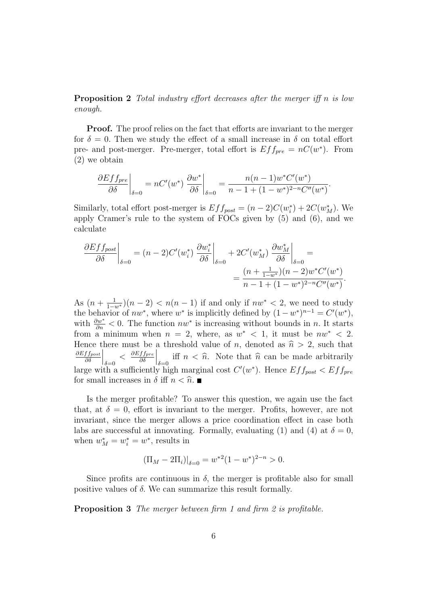**Proposition 2** Total industry effort decreases after the merger iff n is low enough.

Proof. The proof relies on the fact that efforts are invariant to the merger for  $\delta = 0$ . Then we study the effect of a small increase in  $\delta$  on total effort pre- and post-merger. Pre-merger, total effort is  $Eff_{pre} = nC(w^*)$ . From (2) we obtain

$$
\frac{\partial Eff_{pre}}{\partial \delta}\bigg|_{\delta=0} = nC'(w^*)\left.\frac{\partial w^*}{\partial \delta}\right|_{\delta=0} = \frac{n(n-1)w^*C'(w^*)}{n-1+(1-w^*)^{2-n}C''(w^*)}.
$$

Similarly, total effort post-merger is  $Eff_{post} = (n-2)C(w_i^*) + 2C(w_M^*)$ . We apply Cramer's rule to the system of FOCs given by (5) and (6), and we calculate

$$
\frac{\partial E f f_{post}}{\partial \delta}\bigg|_{\delta=0} = (n-2)C'(w_i^*) \left. \frac{\partial w_i^*}{\partial \delta} \right|_{\delta=0} + 2C'(w_M^*) \left. \frac{\partial w_M^*}{\partial \delta} \right|_{\delta=0} = \frac{(n + \frac{1}{1 - w^*)}(n - 2)w^* C'(w^*)}{n - 1 + (1 - w^*)^{2 - n} C''(w^*)}.
$$

As  $(n + \frac{1}{1-w^*})(n-2) < n(n-1)$  if and only if  $nw^* < 2$ , we need to study the behavior of  $nw^*$ , where  $w^*$  is implicitly defined by  $(1 - w^*)^{n-1} = C'(w^*)$ , with  $\frac{\partial w^*}{\partial n}$  < 0. The function  $nw^*$  is increasing without bounds in n. It starts from a minimum when  $n = 2$ , where, as  $w^* < 1$ , it must be  $nw^* < 2$ . Hence there must be a threshold value of n, denoted as  $\hat{n} > 2$ , such that  $\partial Eff_{post}$ ∂δ  $\Big|_{\delta=0}$  <  $\frac{\partial Eff_{pre}}{\partial \delta}$ ∂δ iff  $n < \hat{n}$ . Note that  $\hat{n}$  can be made arbitrarily large with a sufficiently high marginal cost  $C'(w^*)$ . Hence  $Eff_{post} < Eff_{pre}$ for small increases in  $\delta$  iff  $n < \hat{n}$ .

Is the merger profitable? To answer this question, we again use the fact that, at  $\delta = 0$ , effort is invariant to the merger. Profits, however, are not invariant, since the merger allows a price coordination effect in case both labs are successful at innovating. Formally, evaluating (1) and (4) at  $\delta = 0$ , when  $w_M^* = w_i^* = w^*$ , results in

$$
(\Pi_M - 2\Pi_i)|_{\delta=0} = w^{*2} (1 - w^*)^{2-n} > 0.
$$

Since profits are continuous in  $\delta$ , the merger is profitable also for small positive values of  $\delta$ . We can summarize this result formally.

**Proposition 3** The merger between firm 1 and firm 2 is profitable.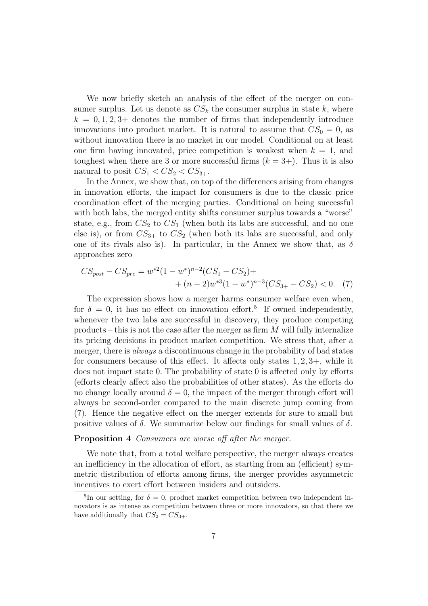We now briefly sketch an analysis of the effect of the merger on consumer surplus. Let us denote as  $CS_k$  the consumer surplus in state k, where  $k = 0, 1, 2, 3+$  denotes the number of firms that independently introduce innovations into product market. It is natural to assume that  $CS_0 = 0$ , as without innovation there is no market in our model. Conditional on at least one firm having innovated, price competition is weakest when  $k = 1$ , and toughest when there are 3 or more successful firms  $(k = 3+)$ . Thus it is also natural to posit  $CS_1 < CS_2 < CS_{3+}$ .

In the Annex, we show that, on top of the differences arising from changes in innovation efforts, the impact for consumers is due to the classic price coordination effect of the merging parties. Conditional on being successful with both labs, the merged entity shifts consumer surplus towards a "worse" state, e.g., from  $CS_2$  to  $CS_1$  (when both its labs are successful, and no one else is), or from  $CS_{3+}$  to  $CS_2$  (when both its labs are successful, and only one of its rivals also is). In particular, in the Annex we show that, as  $\delta$ approaches zero

$$
CS_{post} - CS_{pre} = w^{*2}(1 - w^{*})^{n-2}(CS_1 - CS_2) +
$$
  
+  $(n-2)w^{*3}(1 - w^{*})^{n-3}(CS_{3+} - CS_2) < 0.$  (7)

The expression shows how a merger harms consumer welfare even when, for  $\delta = 0$ , it has no effect on innovation effort.<sup>5</sup> If owned independently, whenever the two labs are successful in discovery, they produce competing products – this is not the case after the merger as firm  $M$  will fully internalize its pricing decisions in product market competition. We stress that, after a merger, there is *always* a discontinuous change in the probability of bad states for consumers because of this effect. It affects only states  $1, 2, 3+$ , while it does not impact state 0. The probability of state 0 is affected only by efforts (efforts clearly affect also the probabilities of other states). As the efforts do no change locally around  $\delta = 0$ , the impact of the merger through effort will always be second-order compared to the main discrete jump coming from (7). Hence the negative effect on the merger extends for sure to small but positive values of  $\delta$ . We summarize below our findings for small values of  $\delta$ .

#### Proposition 4 Consumers are worse off after the merger.

We note that, from a total welfare perspective, the merger always creates an inefficiency in the allocation of effort, as starting from an (efficient) symmetric distribution of efforts among firms, the merger provides asymmetric incentives to exert effort between insiders and outsiders.

<sup>&</sup>lt;sup>5</sup>In our setting, for  $\delta = 0$ , product market competition between two independent innovators is as intense as competition between three or more innovators, so that there we have additionally that  $CS_2 = CS_{3+}$ .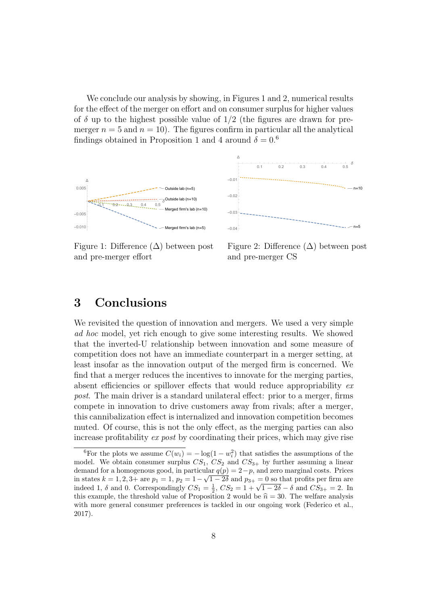We conclude our analysis by showing, in Figures 1 and 2, numerical results for the effect of the merger on effort and on consumer surplus for higher values of  $\delta$  up to the highest possible value of  $1/2$  (the figures are drawn for premerger  $n = 5$  and  $n = 10$ ). The figures confirm in particular all the analytical findings obtained in Proposition 1 and 4 around  $\delta = 0.6$ 





Figure 1: Difference  $(\Delta)$  between post and pre-merger effort

Figure 2: Difference  $(\Delta)$  between post and pre-merger CS

## 3 Conclusions

We revisited the question of innovation and mergers. We used a very simple ad hoc model, yet rich enough to give some interesting results. We showed that the inverted-U relationship between innovation and some measure of competition does not have an immediate counterpart in a merger setting, at least insofar as the innovation output of the merged firm is concerned. We find that a merger reduces the incentives to innovate for the merging parties, absent efficiencies or spillover effects that would reduce appropriability ex post. The main driver is a standard unilateral effect: prior to a merger, firms compete in innovation to drive customers away from rivals; after a merger, this cannibalization effect is internalized and innovation competition becomes muted. Of course, this is not the only effect, as the merging parties can also increase profitability ex post by coordinating their prices, which may give rise

<sup>&</sup>lt;sup>6</sup>For the plots we assume  $C(w_i) = -\log(1 - w_i^2)$  that satisfies the assumptions of the model. We obtain consumer surplus  $CS_1$ ,  $CS_2$  and  $CS_{3+}$  by further assuming a linear demand for a homogenous good, in particular  $q(p) = 2-p$ , and zero marginal costs. Prices in states  $k = 1, 2, 3$ + are  $p_1 = 1$ ,  $p_2 = 1 - \sqrt{1 - 2\delta}$  and  $p_{3+} = 0$  so that profits per firm are in states  $\kappa = 1, 2, 3 +$  are  $p_1 = 1, p_2 = 1 - \sqrt{1 - 2\delta}$  and  $p_{3+} = 0$  so that pronts per firm are indeed 1,  $\delta$  and 0. Correspondingly  $CS_1 = \frac{1}{2}$ ,  $CS_2 = 1 + \sqrt{1 - 2\delta} - \delta$  and  $CS_{3+} = 2$ . In this example, the threshold value of Proposition 2 would be  $\hat{n} = 30$ . The welfare analysis with more general consumer preferences is tackled in our ongoing work (Federico et al., 2017).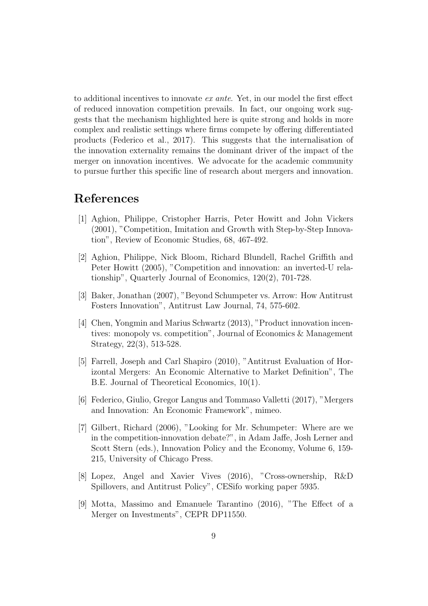to additional incentives to innovate ex ante. Yet, in our model the first effect of reduced innovation competition prevails. In fact, our ongoing work suggests that the mechanism highlighted here is quite strong and holds in more complex and realistic settings where firms compete by offering differentiated products (Federico et al., 2017). This suggests that the internalisation of the innovation externality remains the dominant driver of the impact of the merger on innovation incentives. We advocate for the academic community to pursue further this specific line of research about mergers and innovation.

## References

- [1] Aghion, Philippe, Cristopher Harris, Peter Howitt and John Vickers (2001), "Competition, Imitation and Growth with Step-by-Step Innovation", Review of Economic Studies, 68, 467-492.
- [2] Aghion, Philippe, Nick Bloom, Richard Blundell, Rachel Griffith and Peter Howitt (2005), "Competition and innovation: an inverted-U relationship", Quarterly Journal of Economics, 120(2), 701-728.
- [3] Baker, Jonathan (2007), "Beyond Schumpeter vs. Arrow: How Antitrust Fosters Innovation", Antitrust Law Journal, 74, 575-602.
- [4] Chen, Yongmin and Marius Schwartz (2013), "Product innovation incentives: monopoly vs. competition", Journal of Economics & Management Strategy, 22(3), 513-528.
- [5] Farrell, Joseph and Carl Shapiro (2010), "Antitrust Evaluation of Horizontal Mergers: An Economic Alternative to Market Definition", The B.E. Journal of Theoretical Economics, 10(1).
- [6] Federico, Giulio, Gregor Langus and Tommaso Valletti (2017), "Mergers and Innovation: An Economic Framework", mimeo.
- [7] Gilbert, Richard (2006), "Looking for Mr. Schumpeter: Where are we in the competition-innovation debate?", in Adam Jaffe, Josh Lerner and Scott Stern (eds.), Innovation Policy and the Economy, Volume 6, 159- 215, University of Chicago Press.
- [8] Lopez, Angel and Xavier Vives (2016), "Cross-ownership, R&D Spillovers, and Antitrust Policy", CESifo working paper 5935.
- [9] Motta, Massimo and Emanuele Tarantino (2016), "The Effect of a Merger on Investments", CEPR DP11550.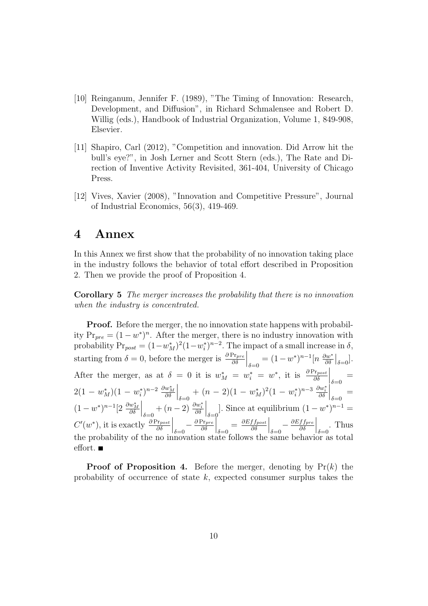- [10] Reinganum, Jennifer F. (1989), "The Timing of Innovation: Research, Development, and Diffusion", in Richard Schmalensee and Robert D. Willig (eds.), Handbook of Industrial Organization, Volume 1, 849-908, Elsevier.
- [11] Shapiro, Carl (2012), "Competition and innovation. Did Arrow hit the bull's eye?", in Josh Lerner and Scott Stern (eds.), The Rate and Direction of Inventive Activity Revisited, 361-404, University of Chicago Press.
- [12] Vives, Xavier (2008), "Innovation and Competitive Pressure", Journal of Industrial Economics, 56(3), 419-469.

## 4 Annex

In this Annex we first show that the probability of no innovation taking place in the industry follows the behavior of total effort described in Proposition 2. Then we provide the proof of Proposition 4.

Corollary 5 The merger increases the probability that there is no innovation when the industry is concentrated.

Proof. Before the merger, the no innovation state happens with probability  $Pr_{pre} = (1 - w^*)^n$ . After the merger, there is no industry innovation with probability  $Pr_{post} = (1 - w_M^*)^2 (1 - w_i^*)^{n-2}$ . The impact of a small increase in  $\delta$ , starting from  $\delta = 0$ , before the merger is  $\frac{\partial Pr_{pre}}{\partial \delta}$  $\Big|_{\delta=0} = (1-w^*)^{n-1} [n \frac{\partial w^*}{\partial \delta}$  $\frac{\partial w^*}{\partial \delta}\Big|_{\delta=0}].$ After the merger, as at  $\delta = 0$  it is  $w_M^* = w_i^* = w^*$ , it is  $\frac{\partial Pr_{post}}{\partial \delta}$  $\Big|_{\delta=0} =$  $2(1 - w_M^*) (1 - w_i^*)^{n-2} \frac{\partial w_M^*}{\partial \delta}$  $\Big|_{\delta=0} + (n-2)(1-w_M^*)^2(1-w_i^*)^{n-3}\frac{\partial w_i^*}{\partial \delta}$  $\Big|_{\delta=0} =$  $(1-w^*)^{n-1} [2 \frac{\partial w_M^*}{\partial \delta}$  $\Big|_{\delta=0} + (n-2) \frac{\partial w_i^*}{\partial \delta}$  $\Big|_{\delta=0}$ . Since at equilibrium  $(1-w^*)^{n-1} =$  $C'(w^*)$ , it is exactly  $\frac{\partial \Pr_{post}}{\partial \delta}$  $\bigg|_{\delta=0}-\frac{\partial \Pr_{pre}}{\partial \delta}$ ∂δ  $\Big|_{\delta=0} = \frac{\partial Eff_{post}}{\partial \delta}$ ∂δ  $\Big|_{\delta=0}-\frac{\partial Eff_{pre}}{\partial\delta}$ ∂δ  $\Big|_{\delta=0}$ . Thus the probability of the no innovation state follows the same behavior as total effort.  $\blacksquare$ 

**Proof of Proposition 4.** Before the merger, denoting by  $Pr(k)$  the probability of occurrence of state  $k$ , expected consumer surplus takes the